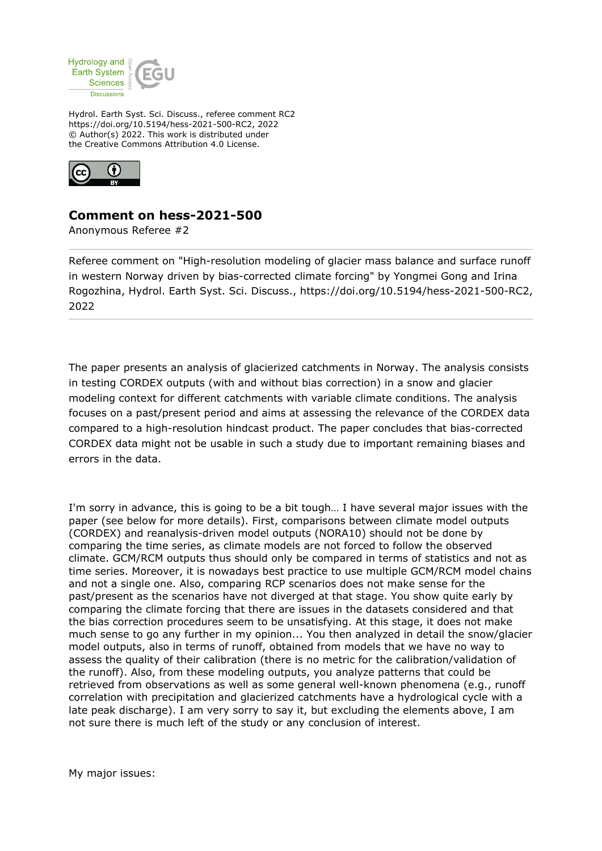

Hydrol. Earth Syst. Sci. Discuss., referee comment RC2 https://doi.org/10.5194/hess-2021-500-RC2, 2022 © Author(s) 2022. This work is distributed under the Creative Commons Attribution 4.0 License.



## **Comment on hess-2021-500**

Anonymous Referee #2

Referee comment on "High-resolution modeling of glacier mass balance and surface runoff in western Norway driven by bias-corrected climate forcing" by Yongmei Gong and Irina Rogozhina, Hydrol. Earth Syst. Sci. Discuss., https://doi.org/10.5194/hess-2021-500-RC2, 2022

The paper presents an analysis of glacierized catchments in Norway. The analysis consists in testing CORDEX outputs (with and without bias correction) in a snow and glacier modeling context for different catchments with variable climate conditions. The analysis focuses on a past/present period and aims at assessing the relevance of the CORDEX data compared to a high-resolution hindcast product. The paper concludes that bias-corrected CORDEX data might not be usable in such a study due to important remaining biases and errors in the data.

I'm sorry in advance, this is going to be a bit tough… I have several major issues with the paper (see below for more details). First, comparisons between climate model outputs (CORDEX) and reanalysis-driven model outputs (NORA10) should not be done by comparing the time series, as climate models are not forced to follow the observed climate. GCM/RCM outputs thus should only be compared in terms of statistics and not as time series. Moreover, it is nowadays best practice to use multiple GCM/RCM model chains and not a single one. Also, comparing RCP scenarios does not make sense for the past/present as the scenarios have not diverged at that stage. You show quite early by comparing the climate forcing that there are issues in the datasets considered and that the bias correction procedures seem to be unsatisfying. At this stage, it does not make much sense to go any further in my opinion... You then analyzed in detail the snow/glacier model outputs, also in terms of runoff, obtained from models that we have no way to assess the quality of their calibration (there is no metric for the calibration/validation of the runoff). Also, from these modeling outputs, you analyze patterns that could be retrieved from observations as well as some general well-known phenomena (e.g., runoff correlation with precipitation and glacierized catchments have a hydrological cycle with a late peak discharge). I am very sorry to say it, but excluding the elements above, I am not sure there is much left of the study or any conclusion of interest.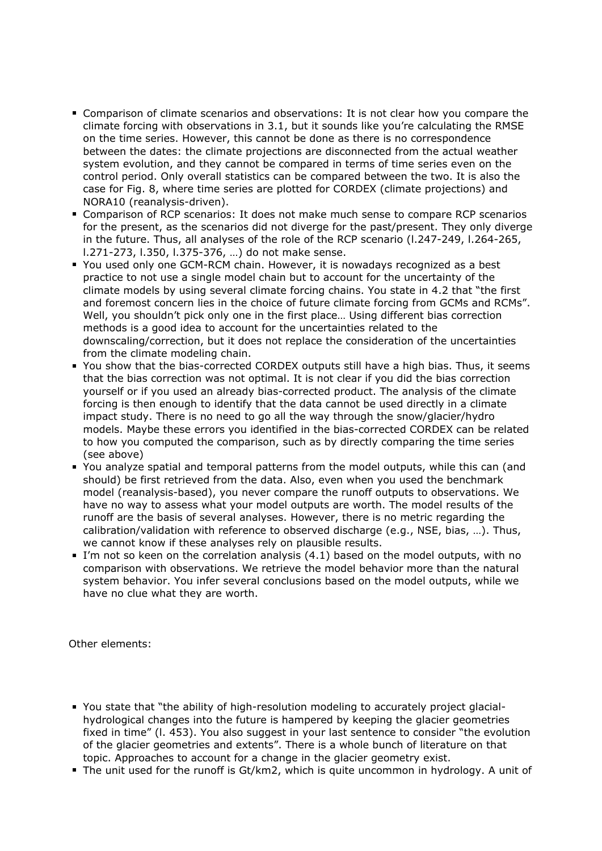- Comparison of climate scenarios and observations: It is not clear how you compare the climate forcing with observations in 3.1, but it sounds like you're calculating the RMSE on the time series. However, this cannot be done as there is no correspondence between the dates: the climate projections are disconnected from the actual weather system evolution, and they cannot be compared in terms of time series even on the control period. Only overall statistics can be compared between the two. It is also the case for Fig. 8, where time series are plotted for CORDEX (climate projections) and NORA10 (reanalysis-driven).
- Comparison of RCP scenarios: It does not make much sense to compare RCP scenarios for the present, as the scenarios did not diverge for the past/present. They only diverge in the future. Thus, all analyses of the role of the RCP scenario (l.247-249, l.264-265, l.271-273, l.350, l.375-376, …) do not make sense.
- You used only one GCM-RCM chain. However, it is nowadays recognized as a best practice to not use a single model chain but to account for the uncertainty of the climate models by using several climate forcing chains. You state in 4.2 that "the first and foremost concern lies in the choice of future climate forcing from GCMs and RCMs". Well, you shouldn't pick only one in the first place… Using different bias correction methods is a good idea to account for the uncertainties related to the downscaling/correction, but it does not replace the consideration of the uncertainties from the climate modeling chain.
- You show that the bias-corrected CORDEX outputs still have a high bias. Thus, it seems that the bias correction was not optimal. It is not clear if you did the bias correction yourself or if you used an already bias-corrected product. The analysis of the climate forcing is then enough to identify that the data cannot be used directly in a climate impact study. There is no need to go all the way through the snow/glacier/hydro models. Maybe these errors you identified in the bias-corrected CORDEX can be related to how you computed the comparison, such as by directly comparing the time series (see above)
- You analyze spatial and temporal patterns from the model outputs, while this can (and should) be first retrieved from the data. Also, even when you used the benchmark model (reanalysis-based), you never compare the runoff outputs to observations. We have no way to assess what your model outputs are worth. The model results of the runoff are the basis of several analyses. However, there is no metric regarding the calibration/validation with reference to observed discharge (e.g., NSE, bias, …). Thus, we cannot know if these analyses rely on plausible results.
- I'm not so keen on the correlation analysis (4.1) based on the model outputs, with no comparison with observations. We retrieve the model behavior more than the natural system behavior. You infer several conclusions based on the model outputs, while we have no clue what they are worth.

Other elements:

- You state that "the ability of high-resolution modeling to accurately project glacialhydrological changes into the future is hampered by keeping the glacier geometries fixed in time" (l. 453). You also suggest in your last sentence to consider "the evolution of the glacier geometries and extents". There is a whole bunch of literature on that topic. Approaches to account for a change in the glacier geometry exist.
- The unit used for the runoff is Gt/km2, which is quite uncommon in hydrology. A unit of